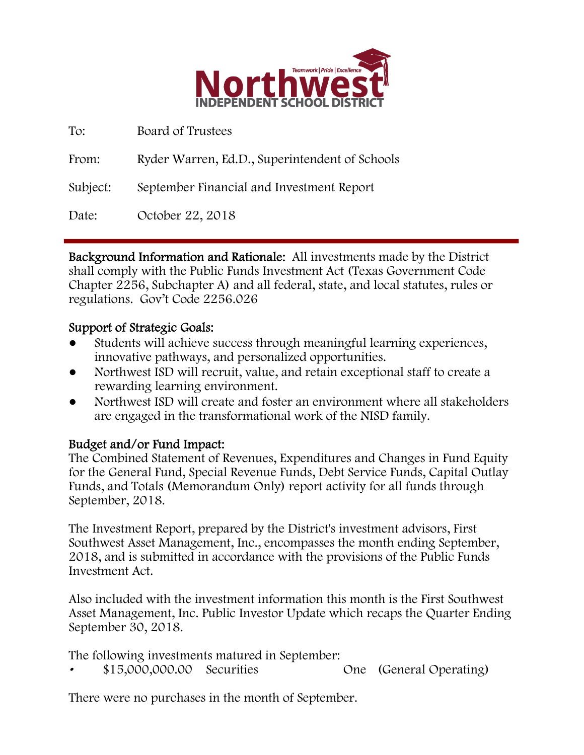

| To:      | Board of Trustees                              |
|----------|------------------------------------------------|
| From:    | Ryder Warren, Ed.D., Superintendent of Schools |
| Subject: | September Financial and Investment Report      |
| Date:    | October 22, 2018                               |

Background Information and Rationale: All investments made by the District shall comply with the Public Funds Investment Act (Texas Government Code Chapter 2256, Subchapter A) and all federal, state, and local statutes, rules or regulations. Gov't Code 2256.026

## Support of Strategic Goals:

- Students will achieve success through meaningful learning experiences, innovative pathways, and personalized opportunities.
- Northwest ISD will recruit, value, and retain exceptional staff to create a rewarding learning environment.
- Northwest ISD will create and foster an environment where all stakeholders are engaged in the transformational work of the NISD family.

# Budget and/or Fund Impact:

The Combined Statement of Revenues, Expenditures and Changes in Fund Equity for the General Fund, Special Revenue Funds, Debt Service Funds, Capital Outlay Funds, and Totals (Memorandum Only) report activity for all funds through September, 2018.

The Investment Report, prepared by the District's investment advisors, First Southwest Asset Management, Inc., encompasses the month ending September, 2018, and is submitted in accordance with the provisions of the Public Funds Investment Act.

Also included with the investment information this month is the First Southwest Asset Management, Inc. Public Investor Update which recaps the Quarter Ending September 30, 2018.

The following investments matured in September:

• \$15,000,000.00 Securities One (General Operating)

There were no purchases in the month of September.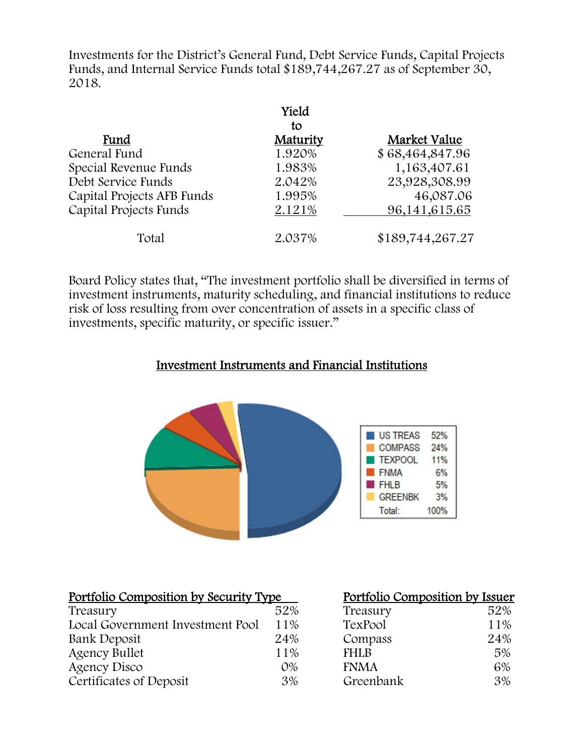Investments for the District's General Fund, Debt Service Funds, Capital Projects Funds, and Internal Service Funds total \$189,744,267.27 as of September 30, 2018.

|                            | Yield    |                  |
|----------------------------|----------|------------------|
|                            | to       |                  |
| Fund                       | Maturity | Market Value     |
| General Fund               | 1.920%   | \$68,464,847.96  |
| Special Revenue Funds      | 1.983%   | 1,163,407.61     |
| Debt Service Funds         | 2.042%   | 23,928,308.99    |
| Capital Projects AFB Funds | 1.995%   | 46,087.06        |
| Capital Projects Funds     | 2.121%   | 96,141,615.65    |
| Total                      | 2.037%   | \$189,744,267.27 |

Board Policy states that, "The investment portfolio shall be diversified in terms of investment instruments, maturity scheduling, and financial institutions to reduce risk of loss resulting from over concentration of assets in a specific class of investments, specific maturity, or specific issuer."

### Investment Instruments and Financial Institutions



#### Portfolio Composition by Security Type

| Treasury                         | 52%   | Treasury    | 52% |
|----------------------------------|-------|-------------|-----|
| Local Government Investment Pool | 11%   | TexPool     | 11% |
| Bank Deposit                     | 24%   | Compass     | 24% |
| Agency Bullet                    | 11%   | <b>FHLB</b> | 5%  |
| Agency Disco                     | $O\%$ | <b>FNMA</b> | 6%  |
| Certificates of Deposit          | 3%    | Greenbank   | 3%  |

| <u>Portfolio Composition by Issuer</u> |     |
|----------------------------------------|-----|
| Treasury                               | 52% |
| TexPool                                | 11% |
| Compass                                | 24% |
| <b>FHLB</b>                            | 5%  |
| <b>FNMA</b>                            | 6%  |
| Greenbank                              | 3%  |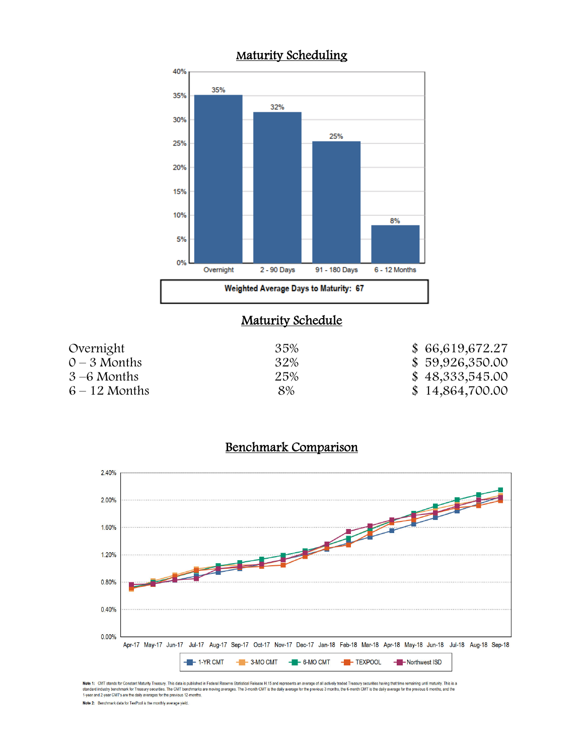

## **Maturity Schedule**

| Overnight       | 35% | \$66,619,672.27 |
|-----------------|-----|-----------------|
| $0 - 3$ Months  | 32% | \$59,926,350.00 |
| $3-6$ Months    | 25% | \$48,333,545.00 |
| $6 - 12$ Months | 8%  | \$14,864,700.00 |

#### Benchmark Comparison



Note 1: CMT stands for Constant Maturly Treasury. This data is published in Federal Reserve Statistical Release H.15 and represents an average of all actively traded Treasury securities having that time remaining until mat

Note 2: Benchmark data for TexPool is the monthly average yield.

### Maturity Scheduling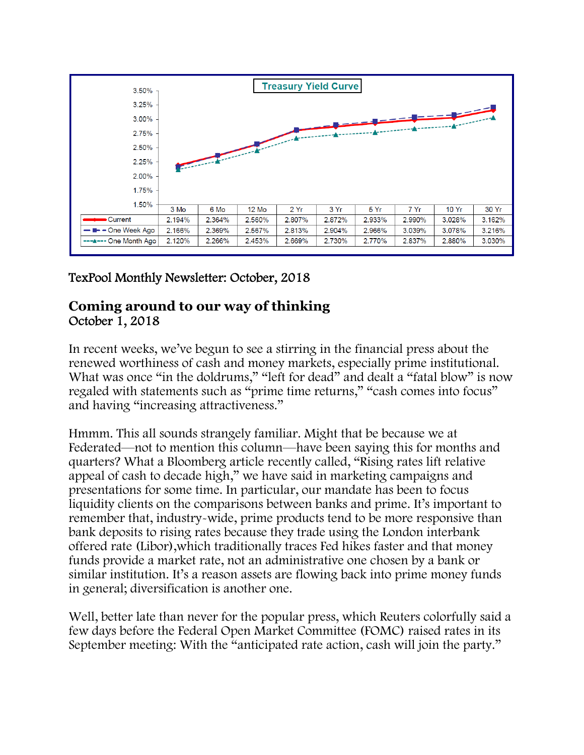

# TexPool Monthly Newsletter: October, 2018

## **Coming around to our way of thinking** October 1, 2018

In recent weeks, we've begun to see a stirring in the financial press about the renewed worthiness of cash and money markets, especially prime institutional. What was once "in the doldrums," "left for dead" and dealt a "fatal blow" is now regaled with statements such as "prime time returns," "cash comes into focus" and having "increasing attractiveness."

Hmmm. This all sounds strangely familiar. Might that be because we at Federated—not to mention this column—have been saying this for months and quarters? What a Bloomberg article recently called, "Rising rates lift relative appeal of cash to decade high," we have said in marketing campaigns and presentations for some time. In particular, our mandate has been to focus liquidity clients on the comparisons between banks and prime. It's important to remember that, industry-wide, prime products tend to be more responsive than bank deposits to rising rates because they trade using the London interbank offered rate (Libor),which traditionally traces Fed hikes faster and that money funds provide a market rate, not an administrative one chosen by a bank or similar institution. It's a reason assets are flowing back into prime money funds in general; diversification is another one.

Well, better late than never for the popular press, which Reuters colorfully said a few days before the Federal Open Market Committee (FOMC) raised rates in its September meeting: With the "anticipated rate action, cash will join the party."